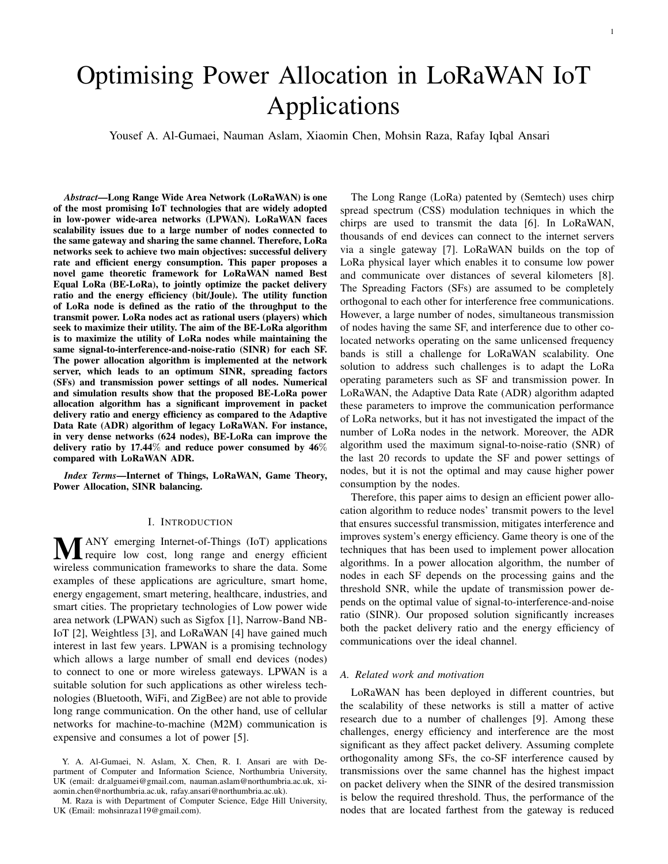# Optimising Power Allocation in LoRaWAN IoT Applications

Yousef A. Al-Gumaei, Nauman Aslam, Xiaomin Chen, Mohsin Raza, Rafay Iqbal Ansari

*Abstract*—Long Range Wide Area Network (LoRaWAN) is one of the most promising IoT technologies that are widely adopted in low-power wide-area networks (LPWAN). LoRaWAN faces scalability issues due to a large number of nodes connected to the same gateway and sharing the same channel. Therefore, LoRa networks seek to achieve two main objectives: successful delivery rate and efficient energy consumption. This paper proposes a novel game theoretic framework for LoRaWAN named Best Equal LoRa (BE-LoRa), to jointly optimize the packet delivery ratio and the energy efficiency (bit/Joule). The utility function of LoRa node is defined as the ratio of the throughput to the transmit power. LoRa nodes act as rational users (players) which seek to maximize their utility. The aim of the BE-LoRa algorithm is to maximize the utility of LoRa nodes while maintaining the same signal-to-interference-and-noise-ratio (SINR) for each SF. The power allocation algorithm is implemented at the network server, which leads to an optimum SINR, spreading factors (SFs) and transmission power settings of all nodes. Numerical and simulation results show that the proposed BE-LoRa power allocation algorithm has a significant improvement in packet delivery ratio and energy efficiency as compared to the Adaptive Data Rate (ADR) algorithm of legacy LoRaWAN. For instance, in very dense networks (624 nodes), BE-LoRa can improve the delivery ratio by 17.44% and reduce power consumed by 46% compared with LoRaWAN ADR.

*Index Terms*—Internet of Things, LoRaWAN, Game Theory, Power Allocation, SINR balancing.

#### I. INTRODUCTION

**MANY** emerging Internet-of-Things (IoT) applications<br>require low cost, long range and energy efficient wireless communication frameworks to share the data. Some examples of these applications are agriculture, smart home, energy engagement, smart metering, healthcare, industries, and smart cities. The proprietary technologies of Low power wide area network (LPWAN) such as Sigfox [1], Narrow-Band NB-IoT [2], Weightless [3], and LoRaWAN [4] have gained much interest in last few years. LPWAN is a promising technology which allows a large number of small end devices (nodes) to connect to one or more wireless gateways. LPWAN is a suitable solution for such applications as other wireless technologies (Bluetooth, WiFi, and ZigBee) are not able to provide long range communication. On the other hand, use of cellular networks for machine-to-machine (M2M) communication is expensive and consumes a lot of power [5].

M. Raza is with Department of Computer Science, Edge Hill University, UK (Email: mohsinraza119@gmail.com).

The Long Range (LoRa) patented by (Semtech) uses chirp spread spectrum (CSS) modulation techniques in which the chirps are used to transmit the data [6]. In LoRaWAN, thousands of end devices can connect to the internet servers via a single gateway [7]. LoRaWAN builds on the top of LoRa physical layer which enables it to consume low power and communicate over distances of several kilometers [8]. The Spreading Factors (SFs) are assumed to be completely orthogonal to each other for interference free communications. However, a large number of nodes, simultaneous transmission of nodes having the same SF, and interference due to other colocated networks operating on the same unlicensed frequency bands is still a challenge for LoRaWAN scalability. One solution to address such challenges is to adapt the LoRa operating parameters such as SF and transmission power. In LoRaWAN, the Adaptive Data Rate (ADR) algorithm adapted these parameters to improve the communication performance of LoRa networks, but it has not investigated the impact of the number of LoRa nodes in the network. Moreover, the ADR algorithm used the maximum signal-to-noise-ratio (SNR) of the last 20 records to update the SF and power settings of nodes, but it is not the optimal and may cause higher power consumption by the nodes.

Therefore, this paper aims to design an efficient power allocation algorithm to reduce nodes' transmit powers to the level that ensures successful transmission, mitigates interference and improves system's energy efficiency. Game theory is one of the techniques that has been used to implement power allocation algorithms. In a power allocation algorithm, the number of nodes in each SF depends on the processing gains and the threshold SNR, while the update of transmission power depends on the optimal value of signal-to-interference-and-noise ratio (SINR). Our proposed solution significantly increases both the packet delivery ratio and the energy efficiency of communications over the ideal channel.

#### *A. Related work and motivation*

LoRaWAN has been deployed in different countries, but the scalability of these networks is still a matter of active research due to a number of challenges [9]. Among these challenges, energy efficiency and interference are the most significant as they affect packet delivery. Assuming complete orthogonality among SFs, the co-SF interference caused by transmissions over the same channel has the highest impact on packet delivery when the SINR of the desired transmission is below the required threshold. Thus, the performance of the nodes that are located farthest from the gateway is reduced

Y. A. Al-Gumaei, N. Aslam, X. Chen, R. I. Ansari are with Department of Computer and Information Science, Northumbria University, UK (email: dr.alguamei@gmail.com, nauman.aslam@northumbria.ac.uk, xiaomin.chen@northumbria.ac.uk, rafay.ansari@northumbria.ac.uk).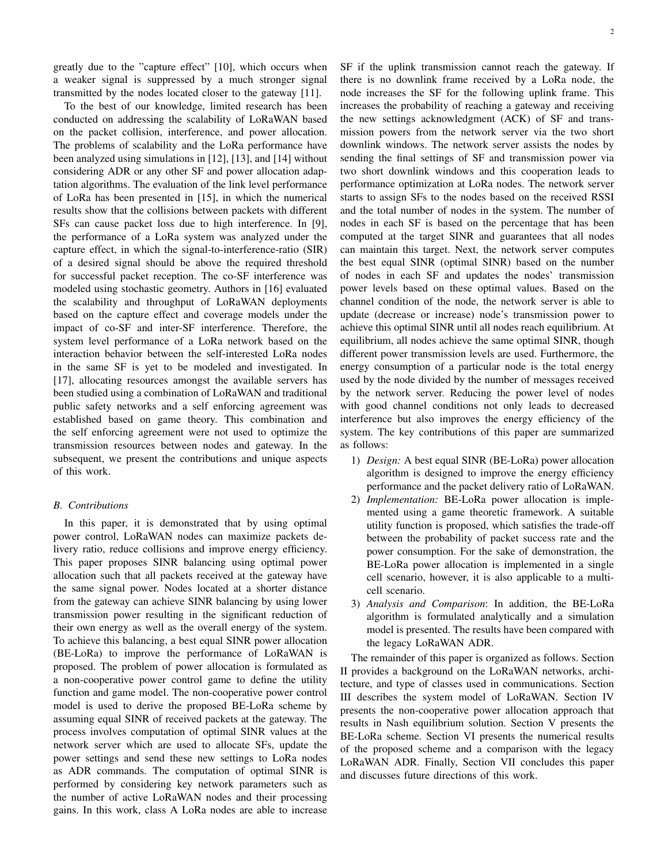greatly due to the "capture effect" [10], which occurs when a weaker signal is suppressed by a much stronger signal transmitted by the nodes located closer to the gateway [11].

To the best of our knowledge, limited research has been conducted on addressing the scalability of LoRaWAN based on the packet collision, interference, and power allocation. The problems of scalability and the LoRa performance have been analyzed using simulations in [12], [13], and [14] without considering ADR or any other SF and power allocation adaptation algorithms. The evaluation of the link level performance of LoRa has been presented in [15], in which the numerical results show that the collisions between packets with different SFs can cause packet loss due to high interference. In [9], the performance of a LoRa system was analyzed under the capture effect, in which the signal-to-interference-ratio (SIR) of a desired signal should be above the required threshold for successful packet reception. The co-SF interference was modeled using stochastic geometry. Authors in [16] evaluated the scalability and throughput of LoRaWAN deployments based on the capture effect and coverage models under the impact of co-SF and inter-SF interference. Therefore, the system level performance of a LoRa network based on the interaction behavior between the self-interested LoRa nodes in the same SF is yet to be modeled and investigated. In [17], allocating resources amongst the available servers has been studied using a combination of LoRaWAN and traditional public safety networks and a self enforcing agreement was established based on game theory. This combination and the self enforcing agreement were not used to optimize the transmission resources between nodes and gateway. In the subsequent, we present the contributions and unique aspects of this work.

#### *B. Contributions*

In this paper, it is demonstrated that by using optimal power control, LoRaWAN nodes can maximize packets delivery ratio, reduce collisions and improve energy efficiency. This paper proposes SINR balancing using optimal power allocation such that all packets received at the gateway have the same signal power. Nodes located at a shorter distance from the gateway can achieve SINR balancing by using lower transmission power resulting in the significant reduction of their own energy as well as the overall energy of the system. To achieve this balancing, a best equal SINR power allocation (BE-LoRa) to improve the performance of LoRaWAN is proposed. The problem of power allocation is formulated as a non-cooperative power control game to define the utility function and game model. The non-cooperative power control model is used to derive the proposed BE-LoRa scheme by assuming equal SINR of received packets at the gateway. The process involves computation of optimal SINR values at the network server which are used to allocate SFs, update the power settings and send these new settings to LoRa nodes as ADR commands. The computation of optimal SINR is performed by considering key network parameters such as the number of active LoRaWAN nodes and their processing gains. In this work, class A LoRa nodes are able to increase SF if the uplink transmission cannot reach the gateway. If there is no downlink frame received by a LoRa node, the node increases the SF for the following uplink frame. This increases the probability of reaching a gateway and receiving the new settings acknowledgment (ACK) of SF and transmission powers from the network server via the two short downlink windows. The network server assists the nodes by sending the final settings of SF and transmission power via two short downlink windows and this cooperation leads to performance optimization at LoRa nodes. The network server starts to assign SFs to the nodes based on the received RSSI and the total number of nodes in the system. The number of nodes in each SF is based on the percentage that has been computed at the target SINR and guarantees that all nodes can maintain this target. Next, the network server computes the best equal SINR (optimal SINR) based on the number of nodes in each SF and updates the nodes' transmission power levels based on these optimal values. Based on the channel condition of the node, the network server is able to update (decrease or increase) node's transmission power to achieve this optimal SINR until all nodes reach equilibrium. At equilibrium, all nodes achieve the same optimal SINR, though different power transmission levels are used. Furthermore, the energy consumption of a particular node is the total energy used by the node divided by the number of messages received by the network server. Reducing the power level of nodes with good channel conditions not only leads to decreased interference but also improves the energy efficiency of the system. The key contributions of this paper are summarized as follows:

- 1) *Design:* A best equal SINR (BE-LoRa) power allocation algorithm is designed to improve the energy efficiency performance and the packet delivery ratio of LoRaWAN.
- 2) *Implementation:* BE-LoRa power allocation is implemented using a game theoretic framework. A suitable utility function is proposed, which satisfies the trade-off between the probability of packet success rate and the power consumption. For the sake of demonstration, the BE-LoRa power allocation is implemented in a single cell scenario, however, it is also applicable to a multicell scenario.
- 3) *Analysis and Comparison*: In addition, the BE-LoRa algorithm is formulated analytically and a simulation model is presented. The results have been compared with the legacy LoRaWAN ADR.

The remainder of this paper is organized as follows. Section II provides a background on the LoRaWAN networks, architecture, and type of classes used in communications. Section III describes the system model of LoRaWAN. Section IV presents the non-cooperative power allocation approach that results in Nash equilibrium solution. Section V presents the BE-LoRa scheme. Section VI presents the numerical results of the proposed scheme and a comparison with the legacy LoRaWAN ADR. Finally, Section VII concludes this paper and discusses future directions of this work.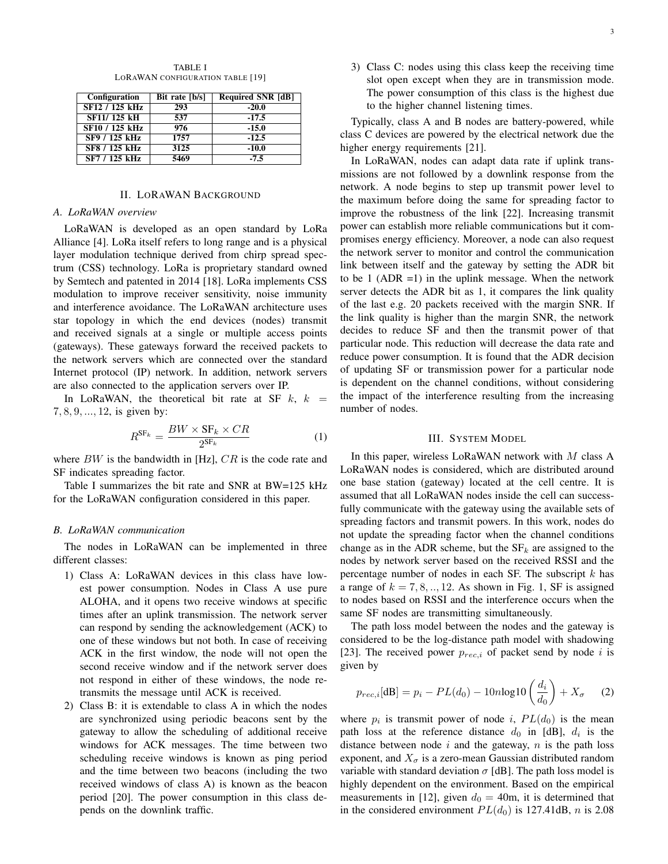TABLE I LORAWAN CONFIGURATION TABLE [19]

| Configuration  | Bit rate [b/s] | <b>Required SNR [dB]</b> |
|----------------|----------------|--------------------------|
| SF12 / 125 kHz | 293            | $-20.0$                  |
| SF11/125 kH    | 537            | $-17.5$                  |
| SF10 / 125 kHz | 976            | $-15.0$                  |
| SF9 / 125 kHz  | 1757           | $-12.5$                  |
| SF8 / 125 kHz  | 3125           | $-10.0$                  |
| SF7 / 125 kHz  | 5469           | $-7.5$                   |

#### II. LORAWAN BACKGROUND

#### *A. LoRaWAN overview*

LoRaWAN is developed as an open standard by LoRa Alliance [4]. LoRa itself refers to long range and is a physical layer modulation technique derived from chirp spread spectrum (CSS) technology. LoRa is proprietary standard owned by Semtech and patented in 2014 [18]. LoRa implements CSS modulation to improve receiver sensitivity, noise immunity and interference avoidance. The LoRaWAN architecture uses star topology in which the end devices (nodes) transmit and received signals at a single or multiple access points (gateways). These gateways forward the received packets to the network servers which are connected over the standard Internet protocol (IP) network. In addition, network servers are also connected to the application servers over IP.

In LoRaWAN, the theoretical bit rate at SF  $k$ ,  $k =$ 7, 8, 9, ..., 12, is given by:

$$
R^{\text{SF}_k} = \frac{BW \times \text{SF}_k \times CR}{2^{\text{SF}_k}} \tag{1}
$$

where  $BW$  is the bandwidth in [Hz],  $CR$  is the code rate and SF indicates spreading factor.

Table I summarizes the bit rate and SNR at BW=125 kHz for the LoRaWAN configuration considered in this paper.

#### *B. LoRaWAN communication*

The nodes in LoRaWAN can be implemented in three different classes:

- 1) Class A: LoRaWAN devices in this class have lowest power consumption. Nodes in Class A use pure ALOHA, and it opens two receive windows at specific times after an uplink transmission. The network server can respond by sending the acknowledgement (ACK) to one of these windows but not both. In case of receiving ACK in the first window, the node will not open the second receive window and if the network server does not respond in either of these windows, the node retransmits the message until ACK is received.
- 2) Class B: it is extendable to class A in which the nodes are synchronized using periodic beacons sent by the gateway to allow the scheduling of additional receive windows for ACK messages. The time between two scheduling receive windows is known as ping period and the time between two beacons (including the two received windows of class A) is known as the beacon period [20]. The power consumption in this class depends on the downlink traffic.

3) Class C: nodes using this class keep the receiving time slot open except when they are in transmission mode. The power consumption of this class is the highest due to the higher channel listening times.

Typically, class A and B nodes are battery-powered, while class C devices are powered by the electrical network due the higher energy requirements [21].

In LoRaWAN, nodes can adapt data rate if uplink transmissions are not followed by a downlink response from the network. A node begins to step up transmit power level to the maximum before doing the same for spreading factor to improve the robustness of the link [22]. Increasing transmit power can establish more reliable communications but it compromises energy efficiency. Moreover, a node can also request the network server to monitor and control the communication link between itself and the gateway by setting the ADR bit to be 1 (ADR =1) in the uplink message. When the network server detects the ADR bit as 1, it compares the link quality of the last e.g. 20 packets received with the margin SNR. If the link quality is higher than the margin SNR, the network decides to reduce SF and then the transmit power of that particular node. This reduction will decrease the data rate and reduce power consumption. It is found that the ADR decision of updating SF or transmission power for a particular node is dependent on the channel conditions, without considering the impact of the interference resulting from the increasing number of nodes.

## III. SYSTEM MODEL

In this paper, wireless LoRaWAN network with  $M$  class A LoRaWAN nodes is considered, which are distributed around one base station (gateway) located at the cell centre. It is assumed that all LoRaWAN nodes inside the cell can successfully communicate with the gateway using the available sets of spreading factors and transmit powers. In this work, nodes do not update the spreading factor when the channel conditions change as in the ADR scheme, but the  $SF_k$  are assigned to the nodes by network server based on the received RSSI and the percentage number of nodes in each SF. The subscript  $k$  has a range of  $k = 7, 8, \ldots, 12$ . As shown in Fig. 1, SF is assigned to nodes based on RSSI and the interference occurs when the same SF nodes are transmitting simultaneously.

The path loss model between the nodes and the gateway is considered to be the log-distance path model with shadowing [23]. The received power  $p_{rec,i}$  of packet send by node i is given by

$$
p_{rec,i}[\text{dB}] = p_i - PL(d_0) - 10n\log 10\left(\frac{d_i}{d_0}\right) + X_\sigma \qquad (2)
$$

where  $p_i$  is transmit power of node i,  $PL(d_0)$  is the mean path loss at the reference distance  $d_0$  in [dB],  $d_i$  is the distance between node  $i$  and the gateway,  $n$  is the path loss exponent, and  $X_{\sigma}$  is a zero-mean Gaussian distributed random variable with standard deviation  $\sigma$  [dB]. The path loss model is highly dependent on the environment. Based on the empirical measurements in [12], given  $d_0 = 40$ m, it is determined that in the considered environment  $PL(d_0)$  is 127.41dB, n is 2.08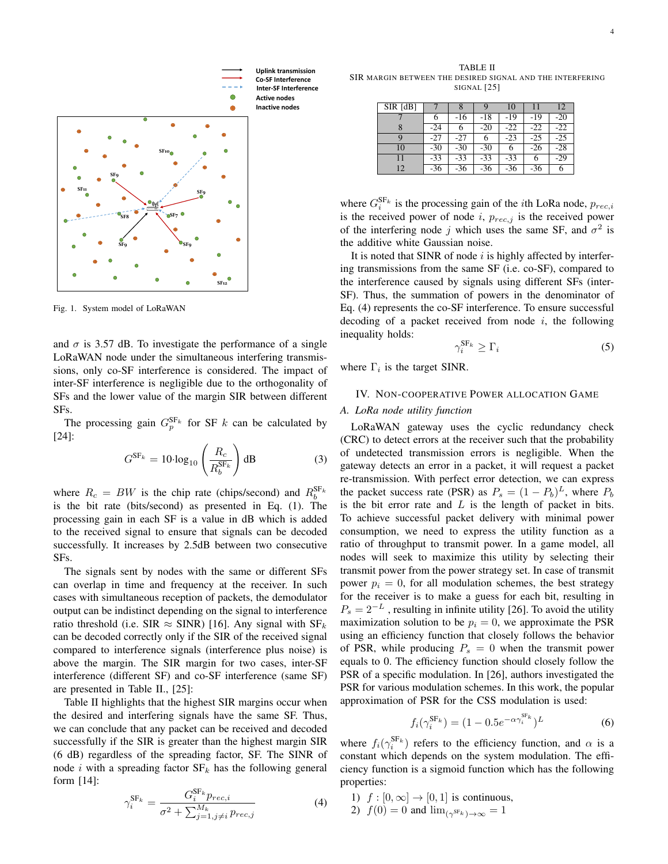

Fig. 1. System model of LoRaWAN

and  $\sigma$  is 3.57 dB. To investigate the performance of a single LoRaWAN node under the simultaneous interfering transmissions, only co-SF interference is considered. The impact of inter-SF interference is negligible due to the orthogonality of SFs and the lower value of the margin SIR between different SFs.

The processing gain  $G_p^{\text{SF}_k}$  for SF k can be calculated by [24]:

$$
G^{\text{SF}_k} = 10 \cdot \log_{10} \left( \frac{R_c}{R_b^{\text{SF}_k}} \right) \text{dB} \tag{3}
$$

where  $R_c = BW$  is the chip rate (chips/second) and  $R_b^{\text{SF}_k}$ is the bit rate (bits/second) as presented in Eq. (1). The processing gain in each SF is a value in dB which is added to the received signal to ensure that signals can be decoded successfully. It increases by 2.5dB between two consecutive SFs.

The signals sent by nodes with the same or different SFs can overlap in time and frequency at the receiver. In such cases with simultaneous reception of packets, the demodulator output can be indistinct depending on the signal to interference ratio threshold (i.e. SIR  $\approx$  SINR) [16]. Any signal with  $SF_k$ can be decoded correctly only if the SIR of the received signal compared to interference signals (interference plus noise) is above the margin. The SIR margin for two cases, inter-SF interference (different SF) and co-SF interference (same SF) are presented in Table II., [25]:

Table II highlights that the highest SIR margins occur when the desired and interfering signals have the same SF. Thus, we can conclude that any packet can be received and decoded successfully if the SIR is greater than the highest margin SIR (6 dB) regardless of the spreading factor, SF. The SINR of node i with a spreading factor  $SF_k$  has the following general form [14]:

$$
\gamma_i^{\text{SF}_k} = \frac{G_i^{\text{SF}_k} p_{rec,i}}{\sigma^2 + \sum_{j=1, j \neq i}^{M_k} p_{rec,j}} \tag{4}
$$

TABLE II SIR MARGIN BETWEEN THE DESIRED SIGNAL AND THE INTERFERING SIGNAL [25]

| $SIR$ [dB] |       |       | Q     | 10    |       | 12    |
|------------|-------|-------|-------|-------|-------|-------|
|            |       | $-16$ | -18   | $-19$ | -19   | $-20$ |
|            | $-24$ | 6     | $-20$ | $-22$ | $-22$ | $-22$ |
| Q          | $-27$ | $-27$ | 6     | $-23$ | -25   | $-25$ |
| 10         | $-30$ | $-30$ | $-30$ | 6     | $-26$ | $-28$ |
| 11         | $-33$ | $-33$ | $-33$ | $-33$ | 6     | $-29$ |
| 12         | $-36$ | $-36$ | $-36$ | -36   | -36   | 6     |

where  $G_i^{\text{SF}_k}$  is the processing gain of the *i*th LoRa node,  $p_{rec,i}$ is the received power of node  $i$ ,  $p_{rec,j}$  is the received power of the interfering node j which uses the same SF, and  $\sigma^2$  is the additive white Gaussian noise.

It is noted that SINR of node  $i$  is highly affected by interfering transmissions from the same SF (i.e. co-SF), compared to the interference caused by signals using different SFs (inter-SF). Thus, the summation of powers in the denominator of Eq. (4) represents the co-SF interference. To ensure successful decoding of a packet received from node  $i$ , the following inequality holds:

$$
\gamma_i^{\text{SF}_k} \ge \Gamma_i \tag{5}
$$

where  $\Gamma_i$  is the target SINR.

#### IV. NON-COOPERATIVE POWER ALLOCATION GAME

#### *A. LoRa node utility function*

LoRaWAN gateway uses the cyclic redundancy check (CRC) to detect errors at the receiver such that the probability of undetected transmission errors is negligible. When the gateway detects an error in a packet, it will request a packet re-transmission. With perfect error detection, we can express the packet success rate (PSR) as  $P_s = (1 - P_b)^L$ , where  $P_b$ is the bit error rate and  $L$  is the length of packet in bits. To achieve successful packet delivery with minimal power consumption, we need to express the utility function as a ratio of throughput to transmit power. In a game model, all nodes will seek to maximize this utility by selecting their transmit power from the power strategy set. In case of transmit power  $p_i = 0$ , for all modulation schemes, the best strategy for the receiver is to make a guess for each bit, resulting in  $P_s = 2^{-L}$ , resulting in infinite utility [26]. To avoid the utility maximization solution to be  $p_i = 0$ , we approximate the PSR using an efficiency function that closely follows the behavior of PSR, while producing  $P_s = 0$  when the transmit power equals to 0. The efficiency function should closely follow the PSR of a specific modulation. In [26], authors investigated the PSR for various modulation schemes. In this work, the popular approximation of PSR for the CSS modulation is used:

$$
f_i(\gamma_i^{\text{SF}_k}) = (1 - 0.5e^{-\alpha \gamma_i^{\text{str}_k}})^L
$$
 (6)

 $SF<sub>t</sub>$ 

where  $f_i(\gamma_i^{\text{SF}_k})$  refers to the efficiency function, and  $\alpha$  is a constant which depends on the system modulation. The efficiency function is a sigmoid function which has the following properties:

1)  $f : [0, \infty] \rightarrow [0, 1]$  is continuous, 2)  $f(0) = 0$  and  $\lim_{(\gamma^{SF_k}) \to \infty} 1$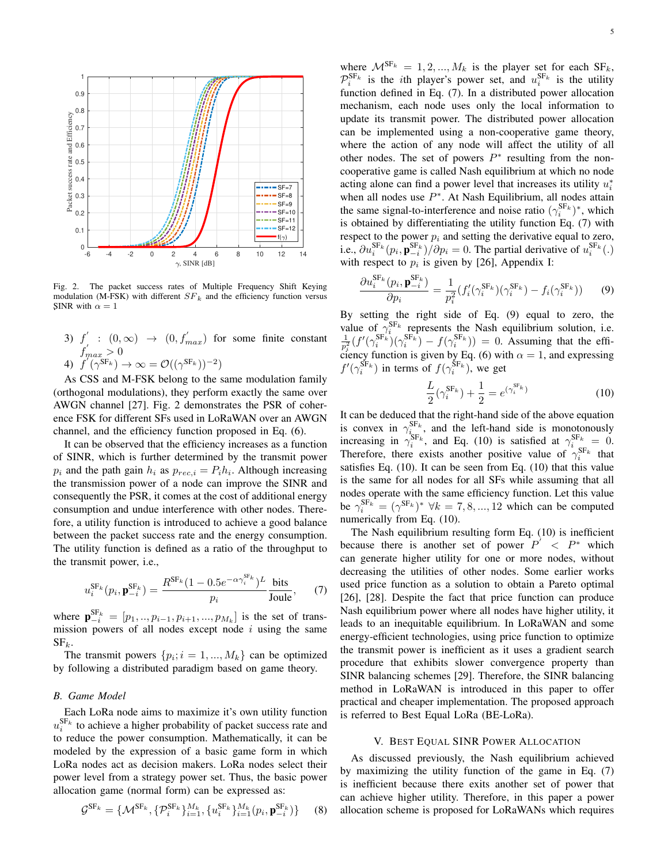

Fig. 2. The packet success rates of Multiple Frequency Shift Keying modulation (M-FSK) with different  $SF_k$  and the efficiency function versus SINR with  $\alpha = 1$ 

- 3)  $f' : (0, \infty) \rightarrow (0, f'_{max})$  for some finite constant  $f_{max}^{'} > 0$
- 4)  $f'(\gamma^{\text{SF}_k}) \rightarrow \infty = \mathcal{O}((\gamma^{\text{SF}_k}))^{-2}$

As CSS and M-FSK belong to the same modulation family (orthogonal modulations), they perform exactly the same over AWGN channel [27]. Fig. 2 demonstrates the PSR of coherence FSK for different SFs used in LoRaWAN over an AWGN channel, and the efficiency function proposed in Eq. (6).

It can be observed that the efficiency increases as a function of SINR, which is further determined by the transmit power  $p_i$  and the path gain  $h_i$  as  $p_{rec,i} = P_i h_i$ . Although increasing the transmission power of a node can improve the SINR and consequently the PSR, it comes at the cost of additional energy consumption and undue interference with other nodes. Therefore, a utility function is introduced to achieve a good balance between the packet success rate and the energy consumption. The utility function is defined as a ratio of the throughput to the transmit power, i.e.,

$$
u_i^{\text{SF}_k}(p_i, \mathbf{p}_{-i}^{\text{SF}_k}) = \frac{R^{\text{SF}_k}(1 - 0.5e^{-\alpha \gamma_i^{\text{or}_k}})^L}{p_i} \frac{\text{bits}}{\text{Joule}},\qquad(7)
$$

 $\epsilon$ E

where  $\mathbf{p}_{-i}^{\text{SF}_{k}} = [p_1, ..., p_{i-1}, p_{i+1}, ..., p_{M_k}]$  is the set of transmission powers of all nodes except node  $i$  using the same  $SF_k$ .

The transmit powers  $\{p_i; i = 1, ..., M_k\}$  can be optimized by following a distributed paradigm based on game theory.

## *B. Game Model*

Each LoRa node aims to maximize it's own utility function  $u_i^{\text{SF}_k}$  to achieve a higher probability of packet success rate and to reduce the power consumption. Mathematically, it can be modeled by the expression of a basic game form in which LoRa nodes act as decision makers. LoRa nodes select their power level from a strategy power set. Thus, the basic power allocation game (normal form) can be expressed as:

$$
\mathcal{G}^{\text{SF}_k} = \{ \mathcal{M}^{\text{SF}_k}, \{ \mathcal{P}_i^{\text{SF}_k} \}_{i=1}^{M_k}, \{ u_i^{\text{SF}_k} \}_{i=1}^{M_k} (p_i, \mathbf{p}_{-i}^{\text{SF}_k}) \} \qquad (8)
$$

where  $\mathcal{M}^{\text{SF}_k} = 1, 2, ..., M_k$  is the player set for each  $\text{SF}_k$ ,  $\mathcal{P}_i^{\text{SF}_k}$  is the *i*th player's power set, and  $u_i^{\text{SF}_k}$  is the utility function defined in Eq. (7). In a distributed power allocation mechanism, each node uses only the local information to update its transmit power. The distributed power allocation can be implemented using a non-cooperative game theory, where the action of any node will affect the utility of all other nodes. The set of powers  $P^*$  resulting from the noncooperative game is called Nash equilibrium at which no node acting alone can find a power level that increases its utility  $u_i^*$ when all nodes use  $P^*$ . At Nash Equilibrium, all nodes attain the same signal-to-interference and noise ratio  $(\gamma_i^{SF_k})^*$ , which is obtained by differentiating the utility function Eq. (7) with respect to the power  $p_i$  and setting the derivative equal to zero, i.e.,  $\partial u_i^{\text{SF}_k}(p_i, \mathbf{p}_{-i}^{\text{SF}_k}) / \partial p_i = 0$ . The partial derivative of  $u_i^{\text{SF}_k}(.)$ with respect to  $p_i$  is given by [26], Appendix I:

$$
\frac{\partial u_i^{\mathrm{SF}_k}(p_i, \mathbf{p}_{-i}^{\mathrm{SF}_k})}{\partial p_i} = \frac{1}{p_i^2} (f_i'(\gamma_i^{\mathrm{SF}_k})(\gamma_i^{\mathrm{SF}_k}) - f_i(\gamma_i^{\mathrm{SF}_k})) \tag{9}
$$

By setting the right side of Eq. (9) equal to zero, the value of  $\gamma_i^{SF_k}$  represents the Nash equilibrium solution, i.e.  $\frac{1}{p_i^2} (f'(\gamma_i^{SF_k})(\gamma_i^{SF_k}) - f(\gamma_i^{SF_k})) = 0$ . Assuming that the efficiency function is given by Eq. (6) with  $\alpha = 1$ , and expressing  $f'(\gamma_i^{SF_k})$  in terms of  $f(\gamma_i^{SF_k})$ , we get

$$
\frac{L}{2}(\gamma_i^{\text{SF}_k}) + \frac{1}{2} = e^{(\gamma_i^{\text{SF}_k})}
$$
\n(10)

It can be deduced that the right-hand side of the above equation is convex in  $\gamma_{i_{\text{cm}}}^{\text{SF}_k}$ , and the left-hand side is monotonously increasing in  $\gamma_i^{SF_k}$ , and Eq. (10) is satisfied at  $\gamma_i^{SF_k} = 0$ . Therefore, there exists another positive value of  $\gamma_i^{SF_k}$  that satisfies Eq. (10). It can be seen from Eq. (10) that this value is the same for all nodes for all SFs while assuming that all nodes operate with the same efficiency function. Let this value be  $\gamma_i^{\text{SF}_k} = (\gamma^{\text{SF}_k})^* \ \forall k = 7, 8, ..., 12$  which can be computed numerically from Eq. (10).

The Nash equilibrium resulting form Eq. (10) is inefficient because there is another set of power  $P^{\prime} < P^*$  which can generate higher utility for one or more nodes, without decreasing the utilities of other nodes. Some earlier works used price function as a solution to obtain a Pareto optimal [26], [28]. Despite the fact that price function can produce Nash equilibrium power where all nodes have higher utility, it leads to an inequitable equilibrium. In LoRaWAN and some energy-efficient technologies, using price function to optimize the transmit power is inefficient as it uses a gradient search procedure that exhibits slower convergence property than SINR balancing schemes [29]. Therefore, the SINR balancing method in LoRaWAN is introduced in this paper to offer practical and cheaper implementation. The proposed approach is referred to Best Equal LoRa (BE-LoRa).

## V. BEST EQUAL SINR POWER ALLOCATION

As discussed previously, the Nash equilibrium achieved by maximizing the utility function of the game in Eq. (7) is inefficient because there exits another set of power that can achieve higher utility. Therefore, in this paper a power allocation scheme is proposed for LoRaWANs which requires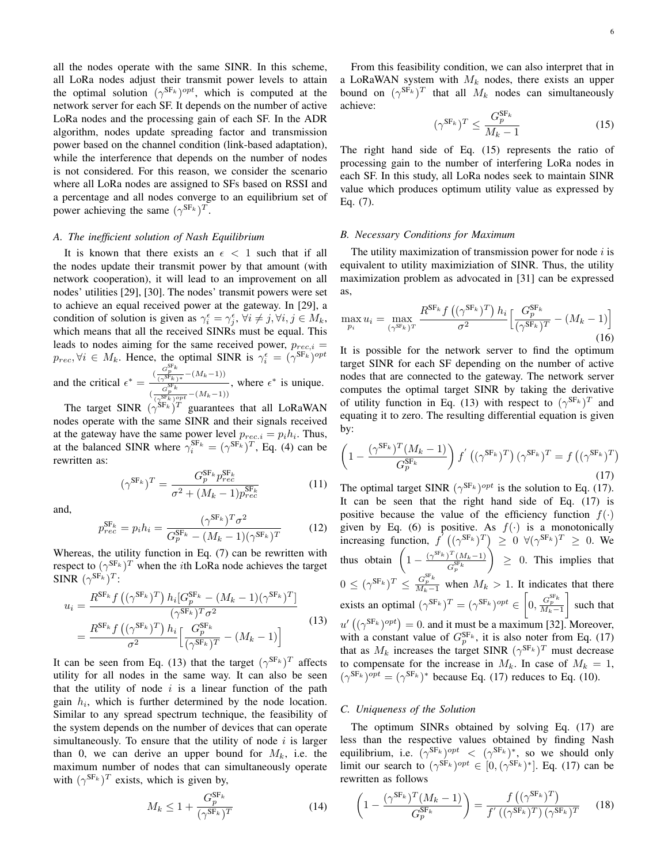all the nodes operate with the same SINR. In this scheme, all LoRa nodes adjust their transmit power levels to attain the optimal solution  $(\gamma^{\text{SF}_k})^{opt}$ , which is computed at the network server for each SF. It depends on the number of active LoRa nodes and the processing gain of each SF. In the ADR algorithm, nodes update spreading factor and transmission power based on the channel condition (link-based adaptation), while the interference that depends on the number of nodes is not considered. For this reason, we consider the scenario where all LoRa nodes are assigned to SFs based on RSSI and a percentage and all nodes converge to an equilibrium set of power achieving the same  $(\gamma^{SF_k})^T$ .

#### *A. The inefficient solution of Nash Equilibrium*

It is known that there exists an  $\epsilon$  < 1 such that if all the nodes update their transmit power by that amount (with network cooperation), it will lead to an improvement on all nodes' utilities [29], [30]. The nodes' transmit powers were set to achieve an equal received power at the gateway. In [29], a condition of solution is given as  $\gamma_i^{\epsilon} = \gamma_j^{\epsilon}$ ,  $\forall i \neq j, \forall i, j \in M_k$ , which means that all the received SINRs must be equal. This leads to nodes aiming for the same received power,  $p_{rec,i}$  =  $p_{rec}, \forall i \in M_k$ . Hence, the optimal SINR is  $\gamma_i^{\epsilon} = (\gamma^{\text{SF}_k})^{opt}$ and the critical  $\epsilon^* = \frac{(\frac{G_p^{\text{SF}} k}{(\gamma^{\text{SF}} k)^*} - (M_k - 1))}{S_{\text{FF}}^{\text{SF}} k}$ , where  $\epsilon^*$  is unique.

 $\frac{G_p^{\text{SF}_k}}{(\gamma^{\text{SF}_k})^{opt}} - (M_k-1))$ The target SINR  $(\gamma^{SF_k})^T$  guarantees that all LoRaWAN

nodes operate with the same SINR and their signals received at the gateway have the same power level  $p_{rec,i} = p_i h_i$ . Thus, at the balanced SINR where  $\gamma_i^{\text{SF}_k} = (\gamma^{\text{SF}_k})^T$ , Eq. (4) can be rewritten as:

$$
(\gamma^{\rm SF_k})^T = \frac{G_p^{\rm SF_k} p_{rec}^{\rm SF_k}}{\sigma^2 + (M_k - 1) p_{rec}^{\rm SF_k}}
$$
(11)

and,

$$
p_{rec}^{\text{SF}_k} = p_i h_i = \frac{(\gamma^{\text{SF}_k})^T \sigma^2}{G_p^{\text{SF}_k} - (M_k - 1)(\gamma^{\text{SF}_k})^T}
$$
(12)

Whereas, the utility function in Eq. (7) can be rewritten with respect to  $(\gamma^{\text{SF}_k})^T$  when the *i*th LoRa node achieves the target SINR  $(\gamma^{\text{SF}_k})^T$ :

$$
u_{i} = \frac{R^{\text{SF}_{k}} f\left((\gamma^{\text{SF}_{k}})^{T}\right) h_{i} [G_{p}^{\text{SF}_{k}} - (M_{k} - 1)(\gamma^{\text{SF}_{k}})^{T}]}{(\gamma^{\text{SF}_{k}})^{T} \sigma^{2}}
$$
  
= 
$$
\frac{R^{\text{SF}_{k}} f\left((\gamma^{\text{SF}_{k}})^{T}\right) h_{i}}{\sigma^{2}} \left[\frac{G_{p}^{\text{SF}_{k}}}{(\gamma^{\text{SF}_{k}})^{T}} - (M_{k} - 1)\right]
$$
(13)

It can be seen from Eq. (13) that the target  $(\gamma^{SF_k})^T$  affects utility for all nodes in the same way. It can also be seen that the utility of node  $i$  is a linear function of the path gain  $h_i$ , which is further determined by the node location. Similar to any spread spectrum technique, the feasibility of the system depends on the number of devices that can operate simultaneously. To ensure that the utility of node  $i$  is larger than 0, we can derive an upper bound for  $M_k$ , i.e. the maximum number of nodes that can simultaneously operate with  $(\gamma^{SF_k})^T$  exists, which is given by,

$$
M_k \le 1 + \frac{G_p^{\text{SF}_k}}{(\gamma^{\text{SF}_k})^T}
$$
 (14)

From this feasibility condition, we can also interpret that in a LoRaWAN system with  $M_k$  nodes, there exists an upper bound on  $(\gamma^{SF_k})^T$  that all  $M_k$  nodes can simultaneously achieve:  $\sim$ CE

$$
(\gamma^{\text{SF}_k})^T \le \frac{G_p^{\text{SF}_k}}{M_k - 1} \tag{15}
$$

The right hand side of Eq. (15) represents the ratio of processing gain to the number of interfering LoRa nodes in each SF. In this study, all LoRa nodes seek to maintain SINR value which produces optimum utility value as expressed by Eq. (7).

#### *B. Necessary Conditions for Maximum*

The utility maximization of transmission power for node  $i$  is equivalent to utility maximiziation of SINR. Thus, the utility maximization problem as advocated in [31] can be expressed as,

$$
\max_{p_i} u_i = \max_{(\gamma^{\text{SF}_k})^T} \frac{R^{\text{SF}_k} f\left((\gamma^{\text{SF}_k})^T\right) h_i}{\sigma^2} \Big[ \frac{G_p^{\text{SF}_k}}{(\gamma^{\text{SF}_k})^T} - (M_k - 1) \Big] \tag{16}
$$

It is possible for the network server to find the optimum target SINR for each SF depending on the number of active nodes that are connected to the gateway. The network server computes the optimal target SINR by taking the derivative of utility function in Eq. (13) with respect to  $(\gamma^{\text{SF}_k})^T$  and equating it to zero. The resulting differential equation is given by:

$$
\left(1 - \frac{(\gamma^{\mathrm{SF}_k})^T (M_k - 1)}{G_p^{\mathrm{SF}_k}}\right) f'\left((\gamma^{\mathrm{SF}_k})^T\right) (\gamma^{\mathrm{SF}_k})^T = f\left((\gamma^{\mathrm{SF}_k})^T\right)
$$
\n(17)

The optimal target SINR  $(\gamma^{SF_k})^{opt}$  is the solution to Eq. (17). It can be seen that the right hand side of Eq. (17) is positive because the value of the efficiency function  $f(\cdot)$ given by Eq. (6) is positive. As  $f(\cdot)$  is a monotonically increasing function,  $f'((\gamma^{SF_k})^T) \geq 0 \ \forall (\gamma^{SF_k})^T \geq 0$ . We thus obtain  $\left(1 - \frac{(\gamma^{\text{SF}_k})^T (M_k - 1)}{\gamma^{\text{SF}_k}}\right)$  $G_{p}^{{\rm SF}_k}$  $\Big) \geq 0$ . This implies that  $0 \le (\gamma^{SF_k})^T \le \frac{G_F^{SF_k}}{M_k-1}$  when  $M_k > 1$ . It indicates that there exists an optimal  $(\gamma^{\text{SF}_k})^T = (\gamma^{\text{SF}_k})^{opt} \in \left[0, \frac{G_p^{\text{SF}_k}}{M_k-1}\right]$ such that  $u'$   $((\gamma^{SF_k})^{opt}) = 0$ . and it must be a maximum [32]. Moreover, with a constant value of  $G_p^{\text{SF}_k}$ , it is also noter from Eq. (17) that as  $M_k$  increases the target SINR  $(\gamma^{SF_k})^T$  must decrease to compensate for the increase in  $M_k$ . In case of  $M_k = 1$ ,  $(\gamma^{\text{SF}_k})^{opt} = (\gamma^{\text{SF}_k})^*$  because Eq. (17) reduces to Eq. (10).

#### *C. Uniqueness of the Solution*

The optimum SINRs obtained by solving Eq. (17) are less than the respective values obtained by finding Nash equilibrium, i.e.  $(\gamma^{SF_k})^{opt} < (\gamma^{SF_k})^*$ , so we should only limit our search to  $(\gamma^{SF_k})^{opt} \in [0, (\gamma^{SF_k})^*]$ . Eq. (17) can be rewritten as follows

$$
\left(1 - \frac{(\gamma^{\text{SF}_k})^T (M_k - 1)}{G_p^{\text{SF}_k}}\right) = \frac{f\left((\gamma^{\text{SF}_k})^T\right)}{f'\left((\gamma^{\text{SF}_k})^T\right)(\gamma^{\text{SF}_k})^T}
$$
(18)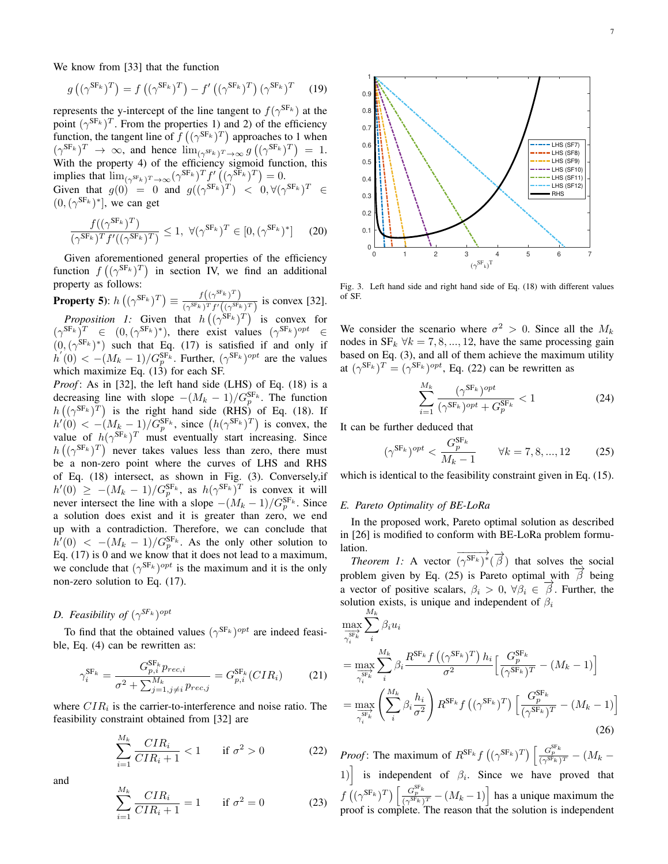We know from [33] that the function

$$
g\left((\gamma^{\mathrm{SF}_{k}})^{T}\right) = f\left((\gamma^{\mathrm{SF}_{k}})^{T}\right) - f'\left((\gamma^{\mathrm{SF}_{k}})^{T}\right)(\gamma^{\mathrm{SF}_{k}})^{T} \quad (19)
$$

represents the y-intercept of the line tangent to  $f(\gamma^{\text{SF}_k})$  at the point  $(\gamma^{SF_k})^T$ . From the properties 1) and 2) of the efficiency function, the tangent line of  $f((\gamma^{SF_k})^T)$  approaches to 1 when  $(\gamma^{\text{SF}_k})^T \rightarrow \infty$ , and hence  $\lim_{(\gamma^{\text{SF}_k})^T \rightarrow \infty} g((\gamma^{\text{SF}_k})^T) = 1$ . With the property 4) of the efficiency sigmoid function, this implies that  $\lim_{(\gamma^{\text{SF}_k})^T \to \infty} (\gamma^{\text{SF}_k})^T f'((\gamma^{\text{SF}_k})^T) = 0.$ 

Given that  $g(0) = 0$  and  $g((\gamma^{SF_k})^T) < 0, \forall (\gamma^{SF_k})^T \in$  $(0, (\gamma^{SF_k})^*]$ , we can get

$$
\frac{f((\gamma^{\mathrm{SF}_k})^T)}{(\gamma^{\mathrm{SF}_k})^T f'((\gamma^{\mathrm{SF}_k})^T)} \le 1, \ \forall (\gamma^{\mathrm{SF}_k})^T \in [0, (\gamma^{\mathrm{SF}_k})^*] \tag{20}
$$

Given aforementioned general properties of the efficiency function  $f((\gamma^{SF_k})^T)$  in section IV, we find an additional property as follows:

**Property 5):**  $h\left((\gamma^{\text{SF}_k})^T\right) \equiv \frac{f\left((\gamma^{\text{SF}_k})^T\right)}{\sqrt{(\gamma^{\text{SF}_k})^T f\left((\gamma^{\text{SF}_k})^T\right)}}$  $\frac{J(\sqrt{f^2 f^2})}{(\gamma^{SF_k})^T f'((\gamma^{SF_k})^T)}$  is convex [32].

*Proposition 1:* Given that  $h((\gamma^{SF_k})^T)$  is convex for  $(\gamma^{\text{SF}_k})^T \in (0, (\gamma^{\text{SF}_k})^*)$ , there exist values  $(\gamma^{\text{SF}_k})^{opt} \in$  $(0, (\gamma^{SF_k})^*)$  such that Eq. (17) is satisfied if and only if  $h'(0) < -(M_k - 1)/G_p^{\text{SF}_k}$ . Further,  $(\gamma^{\text{SF}_k})^{opt}$  are the values which maximize Eq.  $(13)$  for each SF.

*Proof*: As in [32], the left hand side (LHS) of Eq. (18) is a decreasing line with slope  $-(M_k - 1)/G_p^{\text{SF}_k}$ . The function decreasing line with slope  $-(Mk - 1)/G_p$ . The function<br>  $h((\gamma^{SF_k})^T)$  is the right hand side (RHS) of Eq. (18). If  $h'(0) < -\left(M_k - 1\right)/G_p^{\text{SF}_k}$ , since  $\left(h(\gamma^{\text{SF}_k})^T\right)$  is convex, the value of  $h(\gamma^{\text{SF}_k})^T$  must eventually start increasing. Since  $h((\gamma^{\text{SF}_k})^T)$  never takes values less than zero, there must be a non-zero point where the curves of LHS and RHS of Eq. (18) intersect, as shown in Fig. (3). Conversely,if  $h'(0) \ge -(M_k - 1)/G_p^{\text{SF}_k}$ , as  $h(\gamma^{\text{SF}_k})^T$  is convex it will never intersect the line with a slope  $-(M_k - 1)/G_p^{\text{SF}_k}$ . Since a solution does exist and it is greater than zero, we end up with a contradiction. Therefore, we can conclude that  $h'(0)$  <  $-(M_k - 1)/G_p^{\text{SF}_k}$ . As the only other solution to Eq. (17) is 0 and we know that it does not lead to a maximum, we conclude that  $(\gamma^{\text{SF}_k})^{opt}$  is the maximum and it is the only non-zero solution to Eq. (17).

# *D. Feasibility of*  $(\gamma^{SF_k})^{opt}$

To find that the obtained values  $(\gamma^{\text{SF}_k})^{opt}$  are indeed feasible, Eq. (4) can be rewritten as:

$$
\gamma_i^{SF_k} = \frac{G_{p,i}^{SF_k} p_{rec,i}}{\sigma^2 + \sum_{j=1, j \neq i}^{M_k} p_{rec,j}} = G_{p,i}^{SF_k}(CIR_i)
$$
(21)

where  $CIR<sub>i</sub>$  is the carrier-to-interference and noise ratio. The feasibility constraint obtained from [32] are

$$
\sum_{i=1}^{M_k} \frac{CIR_i}{CIR_i + 1} < 1 \qquad \text{if } \sigma^2 > 0 \tag{22}
$$

and

$$
\sum_{i=1}^{M_k} \frac{CIR_i}{CIR_i + 1} = 1 \quad \text{if } \sigma^2 = 0 \tag{23}
$$



Fig. 3. Left hand side and right hand side of Eq. (18) with different values of SF.

We consider the scenario where  $\sigma^2 > 0$ . Since all the  $M_k$ nodes in  $SF_k \forall k = 7, 8, ..., 12$ , have the same processing gain based on Eq. (3), and all of them achieve the maximum utility at  $(\gamma^{SF_k})^T = (\gamma^{SF_k})^{opt}$ , Eq. (22) can be rewritten as

$$
\sum_{i=1}^{M_k} \frac{(\gamma^{\text{SF}_k})^{opt}}{(\gamma^{\text{SF}_k})^{opt} + G_p^{\text{SF}_k}} < 1\tag{24}
$$

It can be further deduced that

$$
(\gamma^{\text{SF}_k})^{opt} < \frac{G_p^{\text{SF}_k}}{M_k - 1} \qquad \forall k = 7, 8, ..., 12 \tag{25}
$$

which is identical to the feasibility constraint given in Eq.  $(15)$ .

## *E. Pareto Optimality of BE-LoRa*

In the proposed work, Pareto optimal solution as described in [26] is modified to conform with BE-LoRa problem formulation.  $-\rightarrow$ 

*Theorem 1:* A vector  $\overrightarrow{(\gamma^{SF_k})^*}(\overrightarrow{\beta})$  that solves the social problem given by Eq. (25) is Pareto optimal with  $\overrightarrow{\beta}$  being a vector of positive scalars,  $\beta_i > 0$ ,  $\forall \beta_i \in \vec{\beta}$ . Further, the solution exists, is unique and independent of  $\beta_i$ 

$$
\max_{\overline{\gamma_i^{\text{SF}}}^k} \sum_{i}^{M_k} \beta_i u_i
$$
\n
$$
= \max_{\overline{\gamma_i^{\text{SF}}}^k} \sum_{i}^{M_k} \beta_i \frac{R^{\text{SF}_k} f\left((\gamma^{\text{SF}_k})^T\right) h_i}{\sigma^2} \left[ \frac{G_p^{\text{SF}_k}}{(\gamma^{\text{SF}_k})^T} - (M_k - 1) \right]
$$
\n
$$
= \max_{\overline{\gamma_i^{\text{SF}_k}}} \left( \sum_{i}^{M_k} \beta_i \frac{h_i}{\sigma^2} \right) R^{\text{SF}_k} f\left((\gamma^{\text{SF}_k})^T\right) \left[ \frac{G_p^{\text{SF}_k}}{(\gamma^{\text{SF}_k})^T} - (M_k - 1) \right]
$$
\n(26)

*Proof*: The maximum of  $R^{\text{SF}_k} f\left( (\gamma^{\text{SF}_k})^T \right) \left[ \frac{G_p^{\text{SF}_k}}{(\gamma^{\text{SF}_k})^T} - (M_k -$ 1) is independent of  $\beta_i$ . Since we have proved that  $f\left((\gamma^{\text{SF}_k})^T\right) \left[\frac{G_{p}^{\text{SF}_k}}{(\gamma^{\text{SF}_k})^T} - (M_k - 1)\right]$  has a unique maximum the proof is complete. The reason that the solution is independent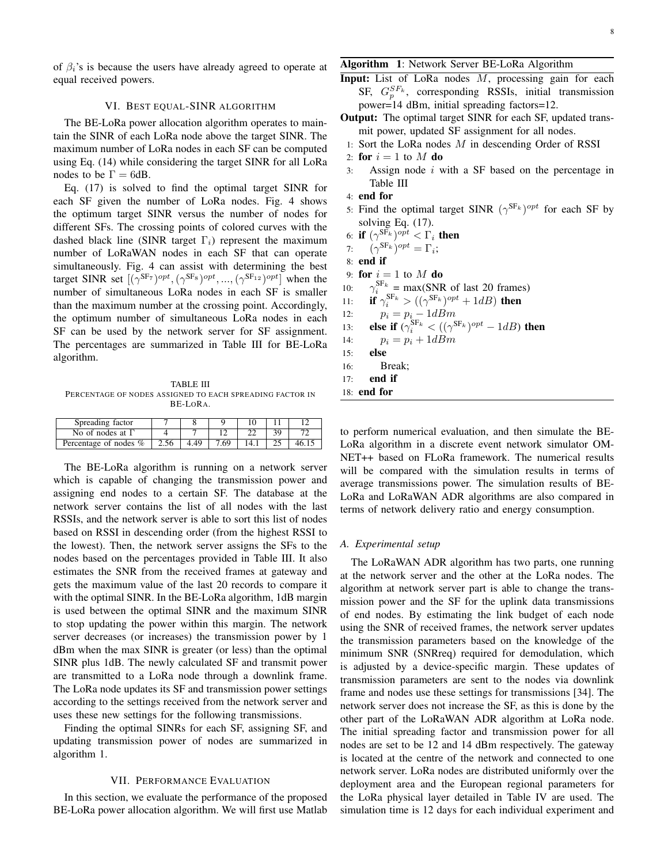of  $\beta_i$ 's is because the users have already agreed to operate at equal received powers.

## VI. BEST EQUAL-SINR ALGORITHM

The BE-LoRa power allocation algorithm operates to maintain the SINR of each LoRa node above the target SINR. The maximum number of LoRa nodes in each SF can be computed using Eq. (14) while considering the target SINR for all LoRa nodes to be  $\Gamma = 6$ dB.

Eq. (17) is solved to find the optimal target SINR for each SF given the number of LoRa nodes. Fig. 4 shows the optimum target SINR versus the number of nodes for different SFs. The crossing points of colored curves with the dashed black line (SINR target  $\Gamma_i$ ) represent the maximum number of LoRaWAN nodes in each SF that can operate simultaneously. Fig. 4 can assist with determining the best target SINR set  $[(\gamma^{\text{SF}_7})^{opt}, (\gamma^{\text{SF}_8})^{opt}, ..., (\gamma^{\text{SF}_{12}})^{opt}]$  when the number of simultaneous LoRa nodes in each SF is smaller than the maximum number at the crossing point. Accordingly, the optimum number of simultaneous LoRa nodes in each SF can be used by the network server for SF assignment. The percentages are summarized in Table III for BE-LoRa algorithm.

TABLE III PERCENTAGE OF NODES ASSIGNED TO EACH SPREADING FACTOR IN BE-LORA.

| Spreading factor        |      |     |      |  |  |
|-------------------------|------|-----|------|--|--|
| No of nodes at $\Gamma$ |      |     |      |  |  |
| Percentage of nodes %   | 2.56 | .49 | 7.69 |  |  |

The BE-LoRa algorithm is running on a network server which is capable of changing the transmission power and assigning end nodes to a certain SF. The database at the network server contains the list of all nodes with the last RSSIs, and the network server is able to sort this list of nodes based on RSSI in descending order (from the highest RSSI to the lowest). Then, the network server assigns the SFs to the nodes based on the percentages provided in Table III. It also estimates the SNR from the received frames at gateway and gets the maximum value of the last 20 records to compare it with the optimal SINR. In the BE-LoRa algorithm, 1dB margin is used between the optimal SINR and the maximum SINR to stop updating the power within this margin. The network server decreases (or increases) the transmission power by 1 dBm when the max SINR is greater (or less) than the optimal SINR plus 1dB. The newly calculated SF and transmit power are transmitted to a LoRa node through a downlink frame. The LoRa node updates its SF and transmission power settings according to the settings received from the network server and uses these new settings for the following transmissions.

Finding the optimal SINRs for each SF, assigning SF, and updating transmission power of nodes are summarized in algorithm 1.

## VII. PERFORMANCE EVALUATION

In this section, we evaluate the performance of the proposed BE-LoRa power allocation algorithm. We will first use Matlab

## Algorithm 1: Network Server BE-LoRa Algorithm

- Input: List of LoRa nodes  $M$ , processing gain for each SF,  $G_p^{SF_k}$ , corresponding RSSIs, initial transmission power=14 dBm, initial spreading factors=12.
- Output: The optimal target SINR for each SF, updated transmit power, updated SF assignment for all nodes.
- 1: Sort the LoRa nodes  $M$  in descending Order of RSSI
- 2: for  $i = 1$  to M do
- 3: Assign node  $i$  with a SF based on the percentage in Table III
- 4: end for
- 5: Find the optimal target SINR  $(\gamma^{SF_k})^{opt}$  for each SF by solving Eq.  $(17)$ .
- 6: if  $(\gamma^{{\rm SF}_k})^{opt} < \Gamma_i$  then
- 7:  $(\gamma^{\text{SF}_k})^{opt} = \Gamma_i;$

8: end if

- 9: for  $i = 1$  to M do
- 10:  $S_{i}^{\text{SF}_{k}}$  = max(SNR of last 20 frames)
- 11: **if**  $\gamma_i^{SF_k} > ((\gamma^{SF_k})^{opt} + 1dB)$  then
- 12:  $p_i = p_i 1dBm$
- 13: **else if**  $(\gamma_i^{SF_k} < ((\gamma^{SF_k})^{opt} 1dB)$  then
- 14:  $p_i = p_i + 1dBm$
- 15: else
- 16: Break;
- 17: end if
- 18: end for

to perform numerical evaluation, and then simulate the BE-LoRa algorithm in a discrete event network simulator OM-NET++ based on FLoRa framework. The numerical results will be compared with the simulation results in terms of average transmissions power. The simulation results of BE-LoRa and LoRaWAN ADR algorithms are also compared in terms of network delivery ratio and energy consumption.

## *A. Experimental setup*

The LoRaWAN ADR algorithm has two parts, one running at the network server and the other at the LoRa nodes. The algorithm at network server part is able to change the transmission power and the SF for the uplink data transmissions of end nodes. By estimating the link budget of each node using the SNR of received frames, the network server updates the transmission parameters based on the knowledge of the minimum SNR (SNRreq) required for demodulation, which is adjusted by a device-specific margin. These updates of transmission parameters are sent to the nodes via downlink frame and nodes use these settings for transmissions [34]. The network server does not increase the SF, as this is done by the other part of the LoRaWAN ADR algorithm at LoRa node. The initial spreading factor and transmission power for all nodes are set to be 12 and 14 dBm respectively. The gateway is located at the centre of the network and connected to one network server. LoRa nodes are distributed uniformly over the deployment area and the European regional parameters for the LoRa physical layer detailed in Table IV are used. The simulation time is 12 days for each individual experiment and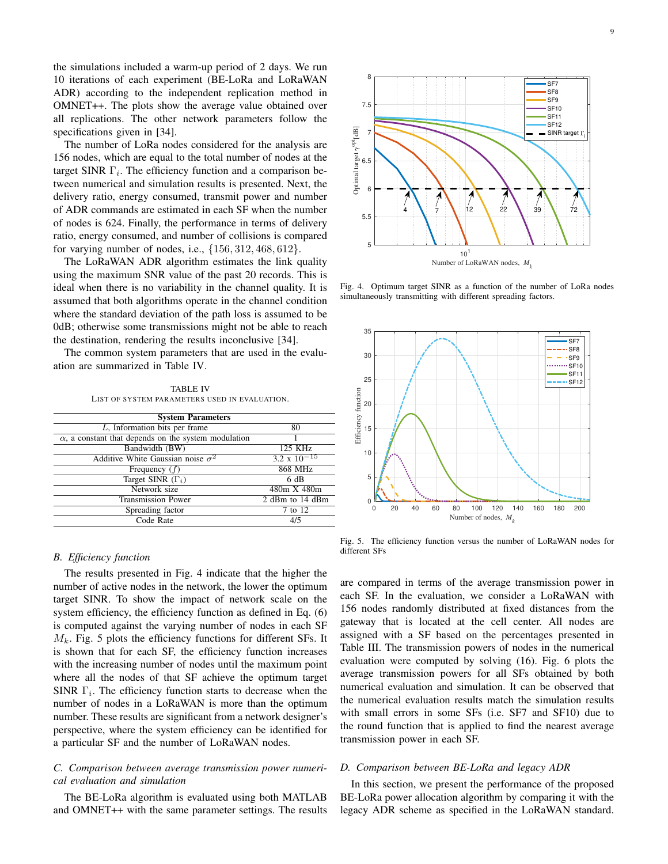the simulations included a warm-up period of 2 days. We run 10 iterations of each experiment (BE-LoRa and LoRaWAN ADR) according to the independent replication method in OMNET++. The plots show the average value obtained over all replications. The other network parameters follow the specifications given in [34].

The number of LoRa nodes considered for the analysis are 156 nodes, which are equal to the total number of nodes at the target SINR  $\Gamma_i$ . The efficiency function and a comparison between numerical and simulation results is presented. Next, the delivery ratio, energy consumed, transmit power and number of ADR commands are estimated in each SF when the number of nodes is 624. Finally, the performance in terms of delivery ratio, energy consumed, and number of collisions is compared for varying number of nodes, i.e., {156, 312, 468, 612}.

The LoRaWAN ADR algorithm estimates the link quality using the maximum SNR value of the past 20 records. This is ideal when there is no variability in the channel quality. It is assumed that both algorithms operate in the channel condition where the standard deviation of the path loss is assumed to be 0dB; otherwise some transmissions might not be able to reach the destination, rendering the results inconclusive [34].

The common system parameters that are used in the evaluation are summarized in Table IV.

TABLE IV LIST OF SYSTEM PARAMETERS USED IN EVALUATION.

| <b>System Parameters</b>                                    |                       |
|-------------------------------------------------------------|-----------------------|
| $L$ , Information bits per frame                            | 80                    |
| $\alpha$ , a constant that depends on the system modulation |                       |
| Bandwidth (BW)                                              | 125 KHz               |
| Additive White Gaussian noise $\sigma^2$                    | $3.2 \times 10^{-15}$ |
| Frequency $(f)$                                             | 868 MHz               |
| Target SINR $(\Gamma_i)$                                    | 6 dB                  |
| Network size                                                | 480m X 480m           |
| Transmission Power                                          | 2 dBm to 14 dBm       |
| Spreading factor                                            | 7 to 12               |
| Code Rate                                                   | 4/5                   |

## *B. Efficiency function*

The results presented in Fig. 4 indicate that the higher the number of active nodes in the network, the lower the optimum target SINR. To show the impact of network scale on the system efficiency, the efficiency function as defined in Eq. (6) is computed against the varying number of nodes in each SF  $M_k$ . Fig. 5 plots the efficiency functions for different SFs. It is shown that for each SF, the efficiency function increases with the increasing number of nodes until the maximum point where all the nodes of that SF achieve the optimum target SINR  $\Gamma_i$ . The efficiency function starts to decrease when the number of nodes in a LoRaWAN is more than the optimum number. These results are significant from a network designer's perspective, where the system efficiency can be identified for a particular SF and the number of LoRaWAN nodes.

## *C. Comparison between average transmission power numerical evaluation and simulation*

The BE-LoRa algorithm is evaluated using both MATLAB and OMNET++ with the same parameter settings. The results



Fig. 4. Optimum target SINR as a function of the number of LoRa nodes simultaneously transmitting with different spreading factors.



Fig. 5. The efficiency function versus the number of LoRaWAN nodes for different SFs

are compared in terms of the average transmission power in each SF. In the evaluation, we consider a LoRaWAN with 156 nodes randomly distributed at fixed distances from the gateway that is located at the cell center. All nodes are assigned with a SF based on the percentages presented in Table III. The transmission powers of nodes in the numerical evaluation were computed by solving (16). Fig. 6 plots the average transmission powers for all SFs obtained by both numerical evaluation and simulation. It can be observed that the numerical evaluation results match the simulation results with small errors in some SFs (i.e. SF7 and SF10) due to the round function that is applied to find the nearest average transmission power in each SF.

# *D. Comparison between BE-LoRa and legacy ADR*

In this section, we present the performance of the proposed BE-LoRa power allocation algorithm by comparing it with the legacy ADR scheme as specified in the LoRaWAN standard.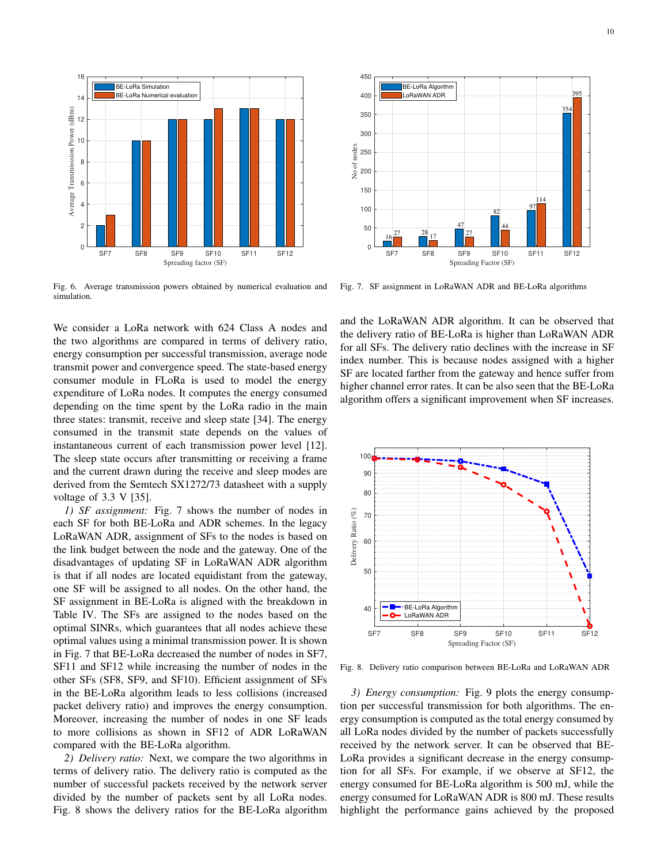

Fig. 6. Average transmission powers obtained by numerical evaluation and simulation.

We consider a LoRa network with 624 Class A nodes and the two algorithms are compared in terms of delivery ratio, energy consumption per successful transmission, average node transmit power and convergence speed. The state-based energy consumer module in FLoRa is used to model the energy expenditure of LoRa nodes. It computes the energy consumed depending on the time spent by the LoRa radio in the main three states: transmit, receive and sleep state [34]. The energy consumed in the transmit state depends on the values of instantaneous current of each transmission power level [12]. The sleep state occurs after transmitting or receiving a frame and the current drawn during the receive and sleep modes are derived from the Semtech SX1272/73 datasheet with a supply voltage of 3.3 V [35].

*1) SF assignment:* Fig. 7 shows the number of nodes in each SF for both BE-LoRa and ADR schemes. In the legacy LoRaWAN ADR, assignment of SFs to the nodes is based on the link budget between the node and the gateway. One of the disadvantages of updating SF in LoRaWAN ADR algorithm is that if all nodes are located equidistant from the gateway, one SF will be assigned to all nodes. On the other hand, the SF assignment in BE-LoRa is aligned with the breakdown in Table IV. The SFs are assigned to the nodes based on the optimal SINRs, which guarantees that all nodes achieve these optimal values using a minimal transmission power. It is shown in Fig. 7 that BE-LoRa decreased the number of nodes in SF7, SF11 and SF12 while increasing the number of nodes in the other SFs (SF8, SF9, and SF10). Efficient assignment of SFs in the BE-LoRa algorithm leads to less collisions (increased packet delivery ratio) and improves the energy consumption. Moreover, increasing the number of nodes in one SF leads to more collisions as shown in SF12 of ADR LoRaWAN compared with the BE-LoRa algorithm. Fig. 1. 1.1 and the current content is the delivery ratio is the delivery ratio of the delivery ratio of the delivery ratio of the delivery ratio of the delivery ratio of the delivery ratio of the delivery ratio of the de

*2) Delivery ratio:* Next, we compare the two algorithms in terms of delivery ratio. The delivery ratio is computed as the number of successful packets received by the network server divided by the number of packets sent by all LoRa nodes.



Fig. 7. SF assignment in LoRaWAN ADR and BE-LoRa algorithms

and the LoRaWAN ADR algorithm. It can be observed that the delivery ratio of BE-LoRa is higher than LoRaWAN ADR for all SFs. The delivery ratio declines with the increase in SF index number. This is because nodes assigned with a higher SF are located farther from the gateway and hence suffer from higher channel error rates. It can be also seen that the BE-LoRa algorithm offers a significant improvement when SF increases.



Fig. 8. Delivery ratio comparison between BE-LoRa and LoRaWAN ADR

*3) Energy consumption:* Fig. 9 plots the energy consumption per successful transmission for both algorithms. The energy consumption is computed as the total energy consumed by all LoRa nodes divided by the number of packets successfully received by the network server. It can be observed that BE-LoRa provides a significant decrease in the energy consumption for all SFs. For example, if we observe at SF12, the energy consumed for BE-LoRa algorithm is 500 mJ, while the energy consumed for LoRaWAN ADR is 800 mJ. These results highlight the performance gains achieved by the proposed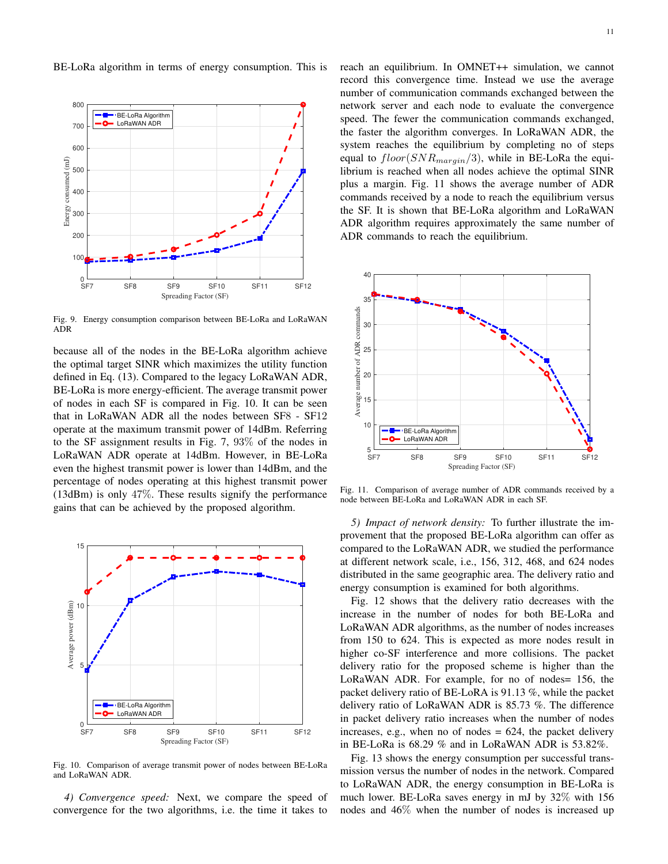BE-LoRa algorithm in terms of energy consumption. This is



Fig. 9. Energy consumption comparison between BE-LoRa and LoRaWAN ADR

because all of the nodes in the BE-LoRa algorithm achieve the optimal target SINR which maximizes the utility function defined in Eq. (13). Compared to the legacy LoRaWAN ADR, BE-LoRa is more energy-efficient. The average transmit power of nodes in each SF is compared in Fig. 10. It can be seen that in LoRaWAN ADR all the nodes between SF8 - SF12 operate at the maximum transmit power of 14dBm. Referring to the SF assignment results in Fig. 7, 93% of the nodes in LoRaWAN ADR operate at 14dBm. However, in BE-LoRa even the highest transmit power is lower than 14dBm, and the percentage of nodes operating at this highest transmit power (13dBm) is only 47%. These results signify the performance gains that can be achieved by the proposed algorithm.



Fig. 10. Comparison of average transmit power of nodes between BE-LoRa and LoRaWAN ADR.

*4) Convergence speed:* Next, we compare the speed of convergence for the two algorithms, i.e. the time it takes to reach an equilibrium. In OMNET++ simulation, we cannot record this convergence time. Instead we use the average number of communication commands exchanged between the network server and each node to evaluate the convergence speed. The fewer the communication commands exchanged, the faster the algorithm converges. In LoRaWAN ADR, the system reaches the equilibrium by completing no of steps equal to  $floor(SNR_{margin}/3)$ , while in BE-LoRa the equilibrium is reached when all nodes achieve the optimal SINR plus a margin. Fig. 11 shows the average number of ADR commands received by a node to reach the equilibrium versus the SF. It is shown that BE-LoRa algorithm and LoRaWAN ADR algorithm requires approximately the same number of ADR commands to reach the equilibrium.



Fig. 11. Comparison of average number of ADR commands received by a node between BE-LoRa and LoRaWAN ADR in each SF.

*5) Impact of network density:* To further illustrate the improvement that the proposed BE-LoRa algorithm can offer as compared to the LoRaWAN ADR, we studied the performance at different network scale, i.e., 156, 312, 468, and 624 nodes distributed in the same geographic area. The delivery ratio and energy consumption is examined for both algorithms.

Fig. 12 shows that the delivery ratio decreases with the increase in the number of nodes for both BE-LoRa and LoRaWAN ADR algorithms, as the number of nodes increases from 150 to 624. This is expected as more nodes result in higher co-SF interference and more collisions. The packet delivery ratio for the proposed scheme is higher than the LoRaWAN ADR. For example, for no of nodes= 156, the packet delivery ratio of BE-LoRA is 91.13 %, while the packet delivery ratio of LoRaWAN ADR is 85.73 %. The difference in packet delivery ratio increases when the number of nodes increases, e.g., when no of nodes  $= 624$ , the packet delivery in BE-LoRa is 68.29 % and in LoRaWAN ADR is 53.82%.

Fig. 13 shows the energy consumption per successful transmission versus the number of nodes in the network. Compared to LoRaWAN ADR, the energy consumption in BE-LoRa is much lower. BE-LoRa saves energy in mJ by 32% with 156 nodes and 46% when the number of nodes is increased up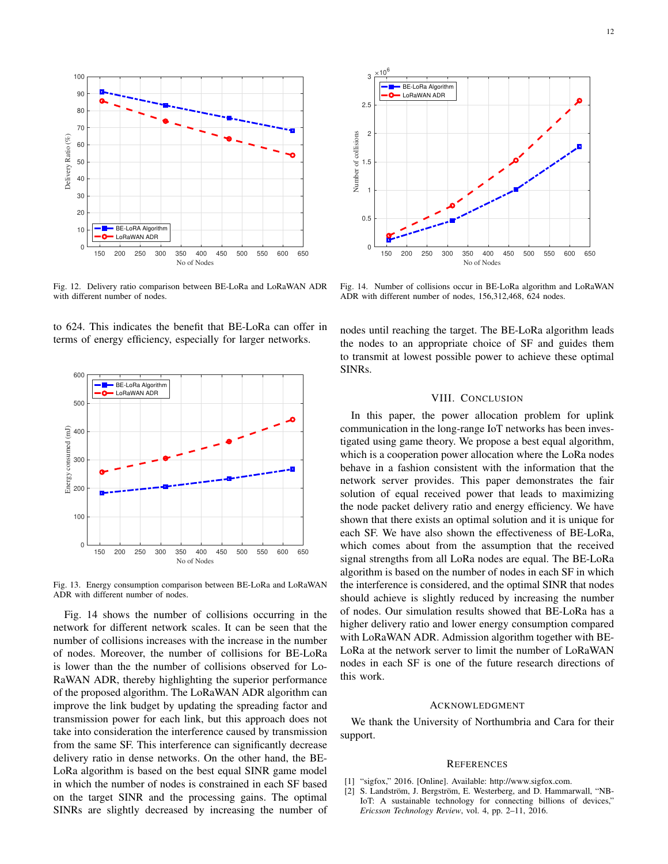

Fig. 12. Delivery ratio comparison between BE-LoRa and LoRaWAN ADR with different number of nodes.

to 624. This indicates the benefit that BE-LoRa can offer in terms of energy efficiency, especially for larger networks.



Fig. 13. Energy consumption comparison between BE-LoRa and LoRaWAN ADR with different number of nodes.

Fig. 14 shows the number of collisions occurring in the network for different network scales. It can be seen that the number of collisions increases with the increase in the number of nodes. Moreover, the number of collisions for BE-LoRa is lower than the the number of collisions observed for Lo-RaWAN ADR, thereby highlighting the superior performance of the proposed algorithm. The LoRaWAN ADR algorithm can improve the link budget by updating the spreading factor and transmission power for each link, but this approach does not take into consideration the interference caused by transmission from the same SF. This interference can significantly decrease delivery ratio in dense networks. On the other hand, the BE-LoRa algorithm is based on the best equal SINR game model in which the number of nodes is constrained in each SF based on the target SINR and the processing gains. The optimal SINRs are slightly decreased by increasing the number of



Fig. 14. Number of collisions occur in BE-LoRa algorithm and LoRaWAN ADR with different number of nodes, 156,312,468, 624 nodes.

nodes until reaching the target. The BE-LoRa algorithm leads the nodes to an appropriate choice of SF and guides them to transmit at lowest possible power to achieve these optimal SINRs.

#### VIII. CONCLUSION

In this paper, the power allocation problem for uplink communication in the long-range IoT networks has been investigated using game theory. We propose a best equal algorithm, which is a cooperation power allocation where the LoRa nodes behave in a fashion consistent with the information that the network server provides. This paper demonstrates the fair solution of equal received power that leads to maximizing the node packet delivery ratio and energy efficiency. We have shown that there exists an optimal solution and it is unique for each SF. We have also shown the effectiveness of BE-LoRa, which comes about from the assumption that the received signal strengths from all LoRa nodes are equal. The BE-LoRa algorithm is based on the number of nodes in each SF in which the interference is considered, and the optimal SINR that nodes should achieve is slightly reduced by increasing the number of nodes. Our simulation results showed that BE-LoRa has a higher delivery ratio and lower energy consumption compared with LoRaWAN ADR. Admission algorithm together with BE-LoRa at the network server to limit the number of LoRaWAN nodes in each SF is one of the future research directions of this work.

#### ACKNOWLEDGMENT

We thank the University of Northumbria and Cara for their support.

#### **REFERENCES**

- [1] "sigfox," 2016. [Online]. Available: http://www.sigfox.com.
- [2] S. Landström, J. Bergström, E. Westerberg, and D. Hammarwall, "NB-IoT: A sustainable technology for connecting billions of devices," *Ericsson Technology Review*, vol. 4, pp. 2–11, 2016.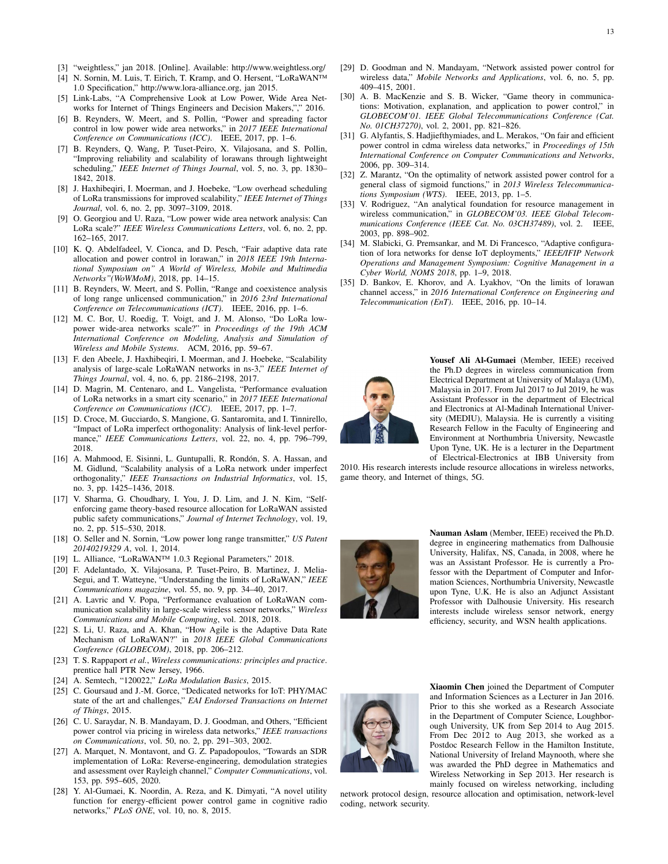- [3] "weightless," jan 2018. [Online]. Available: http://www.weightless.org/
- [4] N. Sornin, M. Luis, T. Eirich, T. Kramp, and O. Hersent, "LoRaWAN™ 1.0 Specification," http://www.lora-alliance.org, jan 2015.
- [5] Link-Labs, "A Comprehensive Look at Low Power, Wide Area Networks for Internet of Things Engineers and Decision Makers,"," 2016.
- [6] B. Reynders, W. Meert, and S. Pollin, "Power and spreading factor control in low power wide area networks," in *2017 IEEE International Conference on Communications (ICC)*. IEEE, 2017, pp. 1–6.
- [7] B. Reynders, Q. Wang, P. Tuset-Peiro, X. Vilajosana, and S. Pollin, "Improving reliability and scalability of lorawans through lightweight scheduling," *IEEE Internet of Things Journal*, vol. 5, no. 3, pp. 1830– 1842, 2018.
- [8] J. Haxhibeqiri, I. Moerman, and J. Hoebeke, "Low overhead scheduling of LoRa transmissions for improved scalability," *IEEE Internet of Things Journal*, vol. 6, no. 2, pp. 3097–3109, 2018.
- [9] O. Georgiou and U. Raza, "Low power wide area network analysis: Can LoRa scale?" *IEEE Wireless Communications Letters*, vol. 6, no. 2, pp. 162–165, 2017.
- [10] K. Q. Abdelfadeel, V. Cionca, and D. Pesch, "Fair adaptive data rate allocation and power control in lorawan," in *2018 IEEE 19th International Symposium on" A World of Wireless, Mobile and Multimedia Networks"(WoWMoM)*, 2018, pp. 14–15.
- [11] B. Reynders, W. Meert, and S. Pollin, "Range and coexistence analysis of long range unlicensed communication," in *2016 23rd International Conference on Telecommunications (ICT)*. IEEE, 2016, pp. 1–6.
- [12] M. C. Bor, U. Roedig, T. Voigt, and J. M. Alonso, "Do LoRa lowpower wide-area networks scale?" in *Proceedings of the 19th ACM International Conference on Modeling, Analysis and Simulation of Wireless and Mobile Systems*. ACM, 2016, pp. 59–67.
- [13] F. den Abeele, J. Haxhibeqiri, I. Moerman, and J. Hoebeke, "Scalability analysis of large-scale LoRaWAN networks in ns-3," *IEEE Internet of Things Journal*, vol. 4, no. 6, pp. 2186–2198, 2017.
- [14] D. Magrin, M. Centenaro, and L. Vangelista, "Performance evaluation of LoRa networks in a smart city scenario," in *2017 IEEE International Conference on Communications (ICC)*. IEEE, 2017, pp. 1–7.
- [15] D. Croce, M. Gucciardo, S. Mangione, G. Santaromita, and I. Tinnirello, "Impact of LoRa imperfect orthogonality: Analysis of link-level performance," *IEEE Communications Letters*, vol. 22, no. 4, pp. 796–799, 2018.
- [16] A. Mahmood, E. Sisinni, L. Guntupalli, R. Rondón, S. A. Hassan, and M. Gidlund, "Scalability analysis of a LoRa network under imperfect orthogonality," *IEEE Transactions on Industrial Informatics*, vol. 15, no. 3, pp. 1425–1436, 2018.
- [17] V. Sharma, G. Choudhary, I. You, J. D. Lim, and J. N. Kim, "Selfenforcing game theory-based resource allocation for LoRaWAN assisted public safety communications," *Journal of Internet Technology*, vol. 19, no. 2, pp. 515–530, 2018.
- [18] O. Seller and N. Sornin, "Low power long range transmitter," *US Patent 20140219329 A*, vol. 1, 2014.
- [19] L. Alliance, "LoRaWAN™ 1.0.3 Regional Parameters," 2018.
- [20] F. Adelantado, X. Vilajosana, P. Tuset-Peiro, B. Martinez, J. Melia-Segui, and T. Watteyne, "Understanding the limits of LoRaWAN," *IEEE Communications magazine*, vol. 55, no. 9, pp. 34–40, 2017.
- [21] A. Lavric and V. Popa, "Performance evaluation of LoRaWAN communication scalability in large-scale wireless sensor networks," *Wireless Communications and Mobile Computing*, vol. 2018, 2018.
- [22] S. Li, U. Raza, and A. Khan, "How Agile is the Adaptive Data Rate Mechanism of LoRaWAN?" in *2018 IEEE Global Communications Conference (GLOBECOM)*, 2018, pp. 206–212.
- [23] T. S. Rappaport *et al.*, *Wireless communications: principles and practice*. prentice hall PTR New Jersey, 1966.
- [24] A. Semtech, "120022," *LoRa Modulation Basics*, 2015.
- [25] C. Goursaud and J.-M. Gorce, "Dedicated networks for IoT: PHY/MAC state of the art and challenges," *EAI Endorsed Transactions on Internet of Things*, 2015.
- [26] C. U. Saraydar, N. B. Mandayam, D. J. Goodman, and Others, "Efficient power control via pricing in wireless data networks," *IEEE transactions on Communications*, vol. 50, no. 2, pp. 291–303, 2002.
- [27] A. Marquet, N. Montavont, and G. Z. Papadopoulos, "Towards an SDR implementation of LoRa: Reverse-engineering, demodulation strategies and assessment over Rayleigh channel," *Computer Communications*, vol. 153, pp. 595–605, 2020.
- [28] Y. Al-Gumaei, K. Noordin, A. Reza, and K. Dimyati, "A novel utility function for energy-efficient power control game in cognitive radio networks," *PLoS ONE*, vol. 10, no. 8, 2015.
- [29] D. Goodman and N. Mandayam, "Network assisted power control for wireless data," *Mobile Networks and Applications*, vol. 6, no. 5, pp. 409–415, 2001.
- [30] A. B. MacKenzie and S. B. Wicker, "Game theory in communications: Motivation, explanation, and application to power control," in *GLOBECOM'01. IEEE Global Telecommunications Conference (Cat. No. 01CH37270)*, vol. 2, 2001, pp. 821–826.
- [31] G. Alyfantis, S. Hadjiefthymiades, and L. Merakos, "On fair and efficient power control in cdma wireless data networks," in *Proceedings of 15th International Conference on Computer Communications and Networks*, 2006, pp. 309–314.
- [32] Z. Marantz, "On the optimality of network assisted power control for a general class of sigmoid functions," in *2013 Wireless Telecommunications Symposium (WTS)*. IEEE, 2013, pp. 1–5.
- [33] V. Rodriguez, "An analytical foundation for resource management in wireless communication," in *GLOBECOM'03. IEEE Global Telecommunications Conference (IEEE Cat. No. 03CH37489)*, vol. 2. IEEE, 2003, pp. 898–902.
- [34] M. Slabicki, G. Premsankar, and M. Di Francesco, "Adaptive configuration of lora networks for dense IoT deployments," *IEEE/IFIP Network Operations and Management Symposium: Cognitive Management in a Cyber World, NOMS 2018*, pp. 1–9, 2018.
- [35] D. Bankov, E. Khorov, and A. Lyakhov, "On the limits of lorawan channel access," in *2016 International Conference on Engineering and Telecommunication (EnT)*. IEEE, 2016, pp. 10–14.



Yousef Ali Al-Gumaei (Member, IEEE) received the Ph.D degrees in wireless communication from Electrical Department at University of Malaya (UM), Malaysia in 2017. From Jul 2017 to Jul 2019, he was Assistant Professor in the department of Electrical and Electronics at Al-Madinah International University (MEDIU), Malaysia. He is currently a visiting Research Fellow in the Faculty of Engineering and Environment at Northumbria University, Newcastle Upon Tyne, UK. He is a lecturer in the Department of Electrical-Electronics at IBB University from

2010. His research interests include resource allocations in wireless networks, game theory, and Internet of things, 5G.



Nauman Aslam (Member, IEEE) received the Ph.D. degree in engineering mathematics from Dalhousie University, Halifax, NS, Canada, in 2008, where he was an Assistant Professor. He is currently a Professor with the Department of Computer and Information Sciences, Northumbria University, Newcastle upon Tyne, U.K. He is also an Adjunct Assistant Professor with Dalhousie University. His research interests include wireless sensor network, energy efficiency, security, and WSN health applications.



Xiaomin Chen joined the Department of Computer and Information Sciences as a Lecturer in Jan 2016. Prior to this she worked as a Research Associate in the Department of Computer Science, Loughborough University, UK from Sep 2014 to Aug 2015. From Dec 2012 to Aug 2013, she worked as a Postdoc Research Fellow in the Hamilton Institute, National University of Ireland Maynooth, where she was awarded the PhD degree in Mathematics and Wireless Networking in Sep 2013. Her research is mainly focused on wireless networking, including

network protocol design, resource allocation and optimisation, network-level coding, network security.